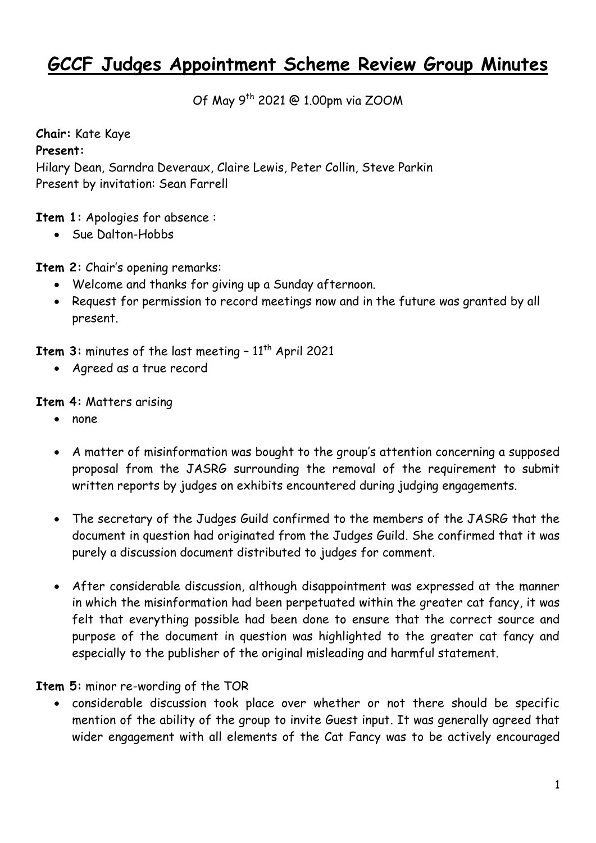# **GCCF Judges Appointment Scheme Review Group Minutes**

Of May 9th 2021 @ 1.00pm via ZOOM

**Chair:** Kate Kaye **Present:**  Hilary Dean, Sarndra Deveraux, Claire Lewis, Peter Collin, Steve Parkin Present by invitation: Sean Farrell

**Item 1:** Apologies for absence :

• Sue Dalton-Hobbs

**Item 2:** Chair's opening remarks:

- Welcome and thanks for giving up a Sunday afternoon.
- Request for permission to record meetings now and in the future was granted by all present.

**Item 3:** minutes of the last meeting - 11<sup>th</sup> April 2021

Agreed as a true record

**Item 4:** Matters arising

- none
- A matter of misinformation was bought to the group's attention concerning a supposed proposal from the JASRG surrounding the removal of the requirement to submit written reports by judges on exhibits encountered during judging engagements.
- The secretary of the Judges Guild confirmed to the members of the JASRG that the document in question had originated from the Judges Guild. She confirmed that it was purely a discussion document distributed to judges for comment.
- After considerable discussion, although disappointment was expressed at the manner in which the misinformation had been perpetuated within the greater cat fancy, it was felt that everything possible had been done to ensure that the correct source and purpose of the document in question was highlighted to the greater cat fancy and especially to the publisher of the original misleading and harmful statement.

**Item 5:** minor re-wording of the TOR

 considerable discussion took place over whether or not there should be specific mention of the ability of the group to invite Guest input. It was generally agreed that wider engagement with all elements of the Cat Fancy was to be actively encouraged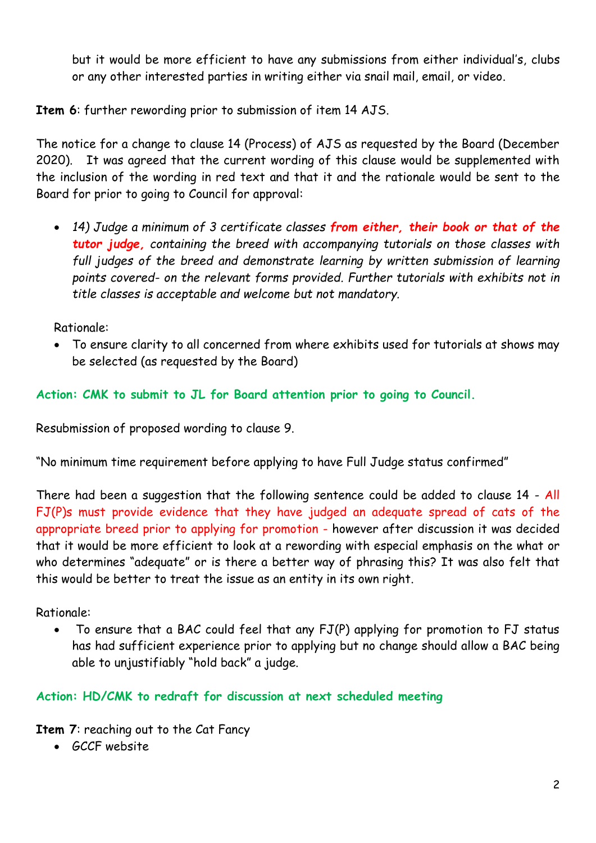but it would be more efficient to have any submissions from either individual's, clubs or any other interested parties in writing either via snail mail, email, or video.

**Item 6**: further rewording prior to submission of item 14 AJS.

The notice for a change to clause 14 (Process) of AJS as requested by the Board (December 2020). It was agreed that the current wording of this clause would be supplemented with the inclusion of the wording in red text and that it and the rationale would be sent to the Board for prior to going to Council for approval:

 *14) Judge a minimum of 3 certificate classes from either, their book or that of the tutor judge, containing the breed with accompanying tutorials on those classes with*  full judges of the breed and demonstrate learning by written submission of learning *points covered- on the relevant forms provided. Further tutorials with exhibits not in title classes is acceptable and welcome but not mandatory.* 

Rationale:

 To ensure clarity to all concerned from where exhibits used for tutorials at shows may be selected (as requested by the Board)

### **Action: CMK to submit to JL for Board attention prior to going to Council.**

Resubmission of proposed wording to clause 9.

"No minimum time requirement before applying to have Full Judge status confirmed"

There had been a suggestion that the following sentence could be added to clause 14 - All FJ(P)s must provide evidence that they have judged an adequate spread of cats of the appropriate breed prior to applying for promotion - however after discussion it was decided that it would be more efficient to look at a rewording with especial emphasis on the what or who determines "adequate" or is there a better way of phrasing this? It was also felt that this would be better to treat the issue as an entity in its own right.

Rationale:

 To ensure that a BAC could feel that any FJ(P) applying for promotion to FJ status has had sufficient experience prior to applying but no change should allow a BAC being able to unjustifiably "hold back" a judge.

#### **Action: HD/CMK to redraft for discussion at next scheduled meeting**

**Item 7**: reaching out to the Cat Fancy

GCCF website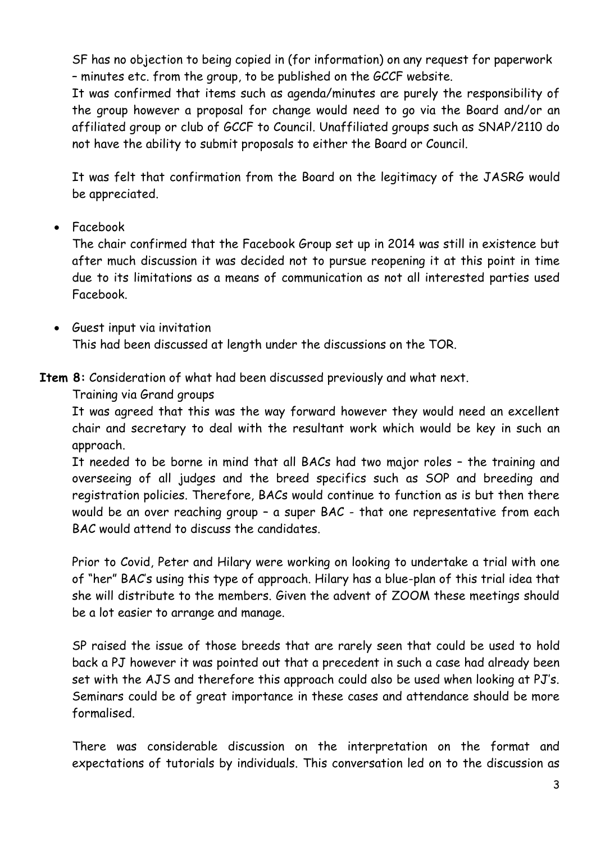SF has no objection to being copied in (for information) on any request for paperwork – minutes etc. from the group, to be published on the GCCF website.

It was confirmed that items such as agenda/minutes are purely the responsibility of the group however a proposal for change would need to go via the Board and/or an affiliated group or club of GCCF to Council. Unaffiliated groups such as SNAP/2110 do not have the ability to submit proposals to either the Board or Council.

It was felt that confirmation from the Board on the legitimacy of the JASRG would be appreciated.

• Facebook

The chair confirmed that the Facebook Group set up in 2014 was still in existence but after much discussion it was decided not to pursue reopening it at this point in time due to its limitations as a means of communication as not all interested parties used Facebook.

 Guest input via invitation This had been discussed at length under the discussions on the TOR.

**Item 8:** Consideration of what had been discussed previously and what next.

Training via Grand groups

It was agreed that this was the way forward however they would need an excellent chair and secretary to deal with the resultant work which would be key in such an approach.

It needed to be borne in mind that all BACs had two major roles – the training and overseeing of all judges and the breed specifics such as SOP and breeding and registration policies. Therefore, BACs would continue to function as is but then there would be an over reaching group – a super BAC - that one representative from each BAC would attend to discuss the candidates.

Prior to Covid, Peter and Hilary were working on looking to undertake a trial with one of "her" BAC's using this type of approach. Hilary has a blue-plan of this trial idea that she will distribute to the members. Given the advent of ZOOM these meetings should be a lot easier to arrange and manage.

SP raised the issue of those breeds that are rarely seen that could be used to hold back a PJ however it was pointed out that a precedent in such a case had already been set with the AJS and therefore this approach could also be used when looking at PJ's. Seminars could be of great importance in these cases and attendance should be more formalised.

There was considerable discussion on the interpretation on the format and expectations of tutorials by individuals. This conversation led on to the discussion as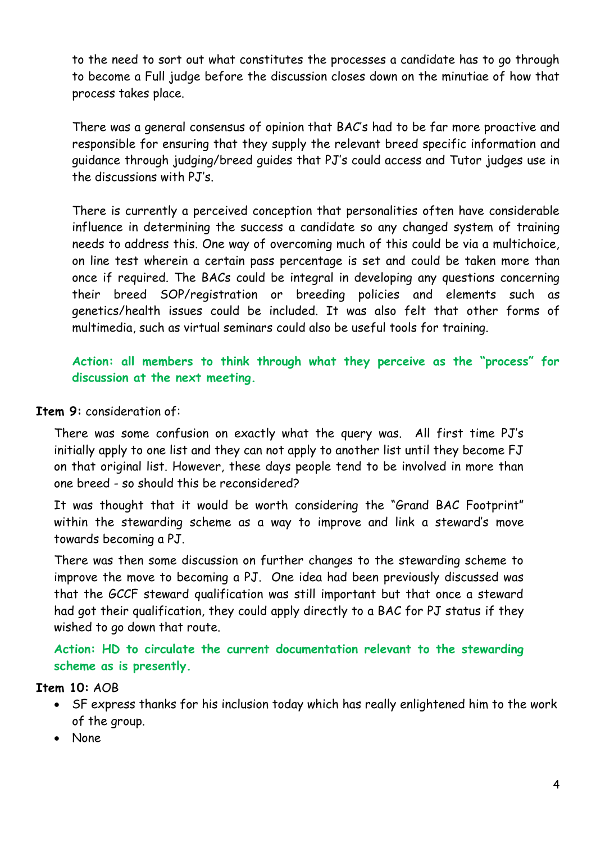to the need to sort out what constitutes the processes a candidate has to go through to become a Full judge before the discussion closes down on the minutiae of how that process takes place.

There was a general consensus of opinion that BAC's had to be far more proactive and responsible for ensuring that they supply the relevant breed specific information and guidance through judging/breed guides that PJ's could access and Tutor judges use in the discussions with PJ's.

There is currently a perceived conception that personalities often have considerable influence in determining the success a candidate so any changed system of training needs to address this. One way of overcoming much of this could be via a multichoice, on line test wherein a certain pass percentage is set and could be taken more than once if required. The BACs could be integral in developing any questions concerning their breed SOP/registration or breeding policies and elements such as genetics/health issues could be included. It was also felt that other forms of multimedia, such as virtual seminars could also be useful tools for training.

**Action: all members to think through what they perceive as the "process" for discussion at the next meeting.**

#### **Item 9:** consideration of:

There was some confusion on exactly what the query was. All first time PJ's initially apply to one list and they can not apply to another list until they become FJ on that original list. However, these days people tend to be involved in more than one breed - so should this be reconsidered?

It was thought that it would be worth considering the "Grand BAC Footprint" within the stewarding scheme as a way to improve and link a steward's move towards becoming a PJ.

There was then some discussion on further changes to the stewarding scheme to improve the move to becoming a PJ. One idea had been previously discussed was that the GCCF steward qualification was still important but that once a steward had got their qualification, they could apply directly to a BAC for PJ status if they wished to go down that route.

**Action: HD to circulate the current documentation relevant to the stewarding scheme as is presently.**

#### **Item 10:** AOB

- SF express thanks for his inclusion today which has really enlightened him to the work of the group.
- None